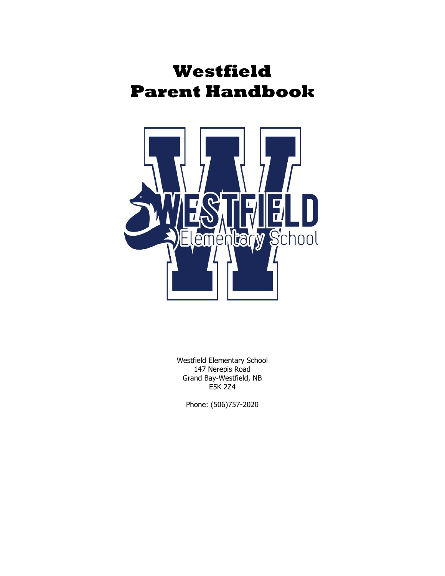# **Westfield Parent Handbook**



Westfield Elementary School 147 Nerepis Road Grand Bay-Westfield, NB E5K 2Z4

Phone: (506)757-2020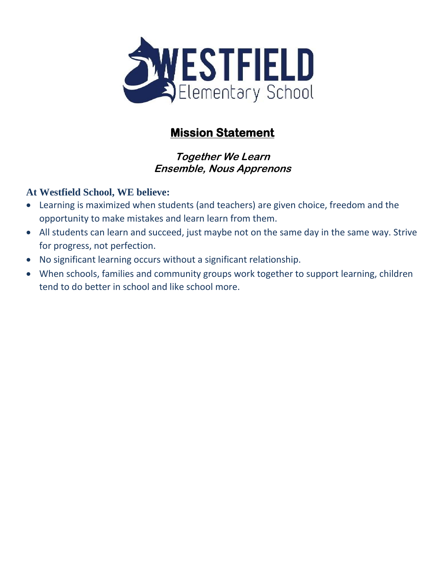

# **Mission Statement**

## **Together We Learn Ensemble, Nous Apprenons**

## **At Westfield School, WE believe:**

- Learning is maximized when students (and teachers) are given choice, freedom and the opportunity to make mistakes and learn learn from them.
- All students can learn and succeed, just maybe not on the same day in the same way. Strive for progress, not perfection.
- No significant learning occurs without a significant relationship.
- When schools, families and community groups work together to support learning, children tend to do better in school and like school more.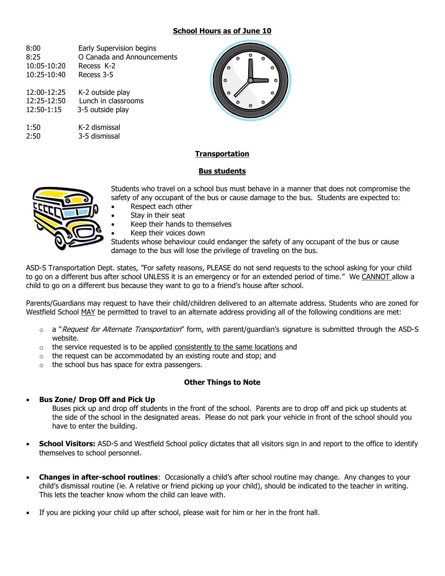#### **School Hours as of June 10**

| 8:00        | Early Supervision begins   |
|-------------|----------------------------|
| 8:25        | O Canada and Announcements |
| 10:05-10:20 | Recess K-2                 |
| 10:25-10:40 | Recess 3-5                 |
| 12:00-12:25 | K-2 outside play           |
| 12:25-12:50 | Lunch in classrooms        |
| 12:50-1:15  | 3-5 outside play           |
| 1:50        | K-2 dismissal              |
| 2:50        | 3-5 dismissal              |



#### **Transportation**

#### **Bus students**



Students who travel on a school bus must behave in a manner that does not compromise the safety of any occupant of the bus or cause damage to the bus. Students are expected to:

- Respect each other
- Stay in their seat
- Keep their hands to themselves
- Keep their voices down

Students whose behaviour could endanger the safety of any occupant of the bus or cause damage to the bus will lose the privilege of traveling on the bus.

ASD-S Transportation Dept. states, "For safety reasons, PLEASE do not send requests to the school asking for your child to go on a different bus after school UNLESS it is an emergency or for an extended period of time." We CANNOT allow a child to go on a different bus because they want to go to a friend's house after school.

Parents/Guardians may request to have their child/children delivered to an alternate address. Students who are zoned for Westfield School MAY be permitted to travel to an alternate address providing all of the following conditions are met:

- $\circ$  a "*Request for Alternate Transportation*" form, with parent/guardian's signature is submitted through the ASD-S website.
- $\circ$  the service requested is to be applied consistently to the same locations and
- o the request can be accommodated by an existing route and stop; and
- $\circ$  the school bus has space for extra passengers.

#### **Other Things to Note**

#### • **Bus Zone/ Drop Off and Pick Up**

Buses pick up and drop off students in the front of the school. Parents are to drop off and pick up students at the side of the school in the designated areas. Please do not park your vehicle in front of the school should you have to enter the building.

- **School Visitors:** ASD-S and Westfield School policy dictates that all visitors sign in and report to the office to identify themselves to school personnel.
- **Changes in after-school routines**: Occasionally a child's after school routine may change. Any changes to your child's dismissal routine (ie. A relative or friend picking up your child), should be indicated to the teacher in writing. This lets the teacher know whom the child can leave with.
- If you are picking your child up after school, please wait for him or her in the front hall.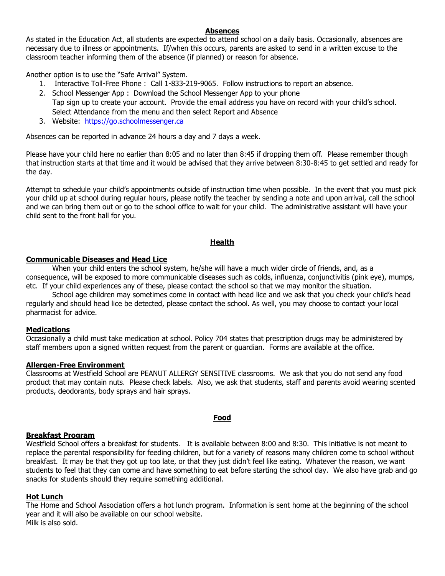#### **Absences**

As stated in the Education Act, all students are expected to attend school on a daily basis. Occasionally, absences are necessary due to illness or appointments. If/when this occurs, parents are asked to send in a written excuse to the classroom teacher informing them of the absence (if planned) or reason for absence.

Another option is to use the "Safe Arrival" System.

- 1. Interactive Toll-Free Phone : Call 1-833-219-9065. Follow instructions to report an absence.
- 2. School Messenger App : Download the School Messenger App to your phone Tap sign up to create your account. Provide the email address you have on record with your child's school. Select Attendance from the menu and then select Report and Absence
- 3. Website: [https://go.schoolmessenger.ca](https://go.schoolmessenger.ca/)

Absences can be reported in advance 24 hours a day and 7 days a week.

Please have your child here no earlier than 8:05 and no later than 8:45 if dropping them off. Please remember though that instruction starts at that time and it would be advised that they arrive between 8:30-8:45 to get settled and ready for the day.

Attempt to schedule your child's appointments outside of instruction time when possible. In the event that you must pick your child up at school during regular hours, please notify the teacher by sending a note and upon arrival, call the school and we can bring them out or go to the school office to wait for your child. The administrative assistant will have your child sent to the front hall for you.

#### **Health**

#### **Communicable Diseases and Head Lice**

When your child enters the school system, he/she will have a much wider circle of friends, and, as a consequence, will be exposed to more communicable diseases such as colds, influenza, conjunctivitis (pink eye), mumps, etc. If your child experiences any of these, please contact the school so that we may monitor the situation.

School age children may sometimes come in contact with head lice and we ask that you check your child's head regularly and should head lice be detected, please contact the school. As well, you may choose to contact your local pharmacist for advice.

#### **Medications**

Occasionally a child must take medication at school. Policy 704 states that prescription drugs may be administered by staff members upon a signed written request from the parent or guardian. Forms are available at the office.

#### **Allergen-Free Environment**

Classrooms at Westfield School are PEANUT ALLERGY SENSITIVE classrooms. We ask that you do not send any food product that may contain nuts. Please check labels. Also, we ask that students, staff and parents avoid wearing scented products, deodorants, body sprays and hair sprays.

#### **Food**

#### **Breakfast Program**

Westfield School offers a breakfast for students. It is available between 8:00 and 8:30. This initiative is not meant to replace the parental responsibility for feeding children, but for a variety of reasons many children come to school without breakfast. It may be that they got up too late, or that they just didn't feel like eating. Whatever the reason, we want students to feel that they can come and have something to eat before starting the school day. We also have grab and go snacks for students should they require something additional.

#### **Hot Lunch**

The Home and School Association offers a hot lunch program. Information is sent home at the beginning of the school year and it will also be available on our school website. Milk is also sold.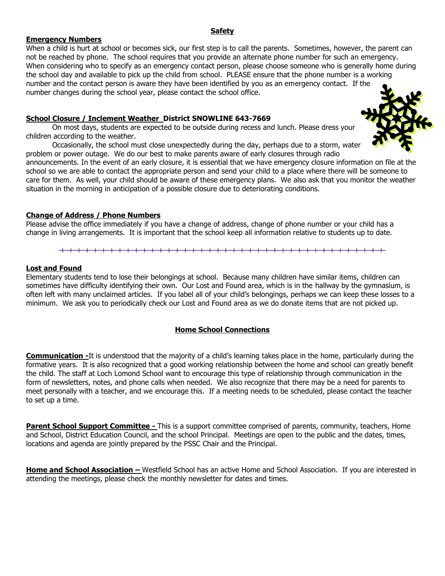#### number changes during the school year, please contact the school office.

#### **School Closure / Inclement Weather District SNOWLINE 643-7669**

On most days, students are expected to be outside during recess and lunch. Please dress your children according to the weather.

Occasionally, the school must close unexpectedly during the day, perhaps due to a storm, water problem or power outage. We do our best to make parents aware of early closures through radio

announcements. In the event of an early closure, it is essential that we have emergency closure information on file at the school so we are able to contact the appropriate person and send your child to a place where there will be someone to care for them. As well, your child should be aware of these emergency plans. We also ask that you monitor the weather situation in the morning in anticipation of a possible closure due to deteriorating conditions.

#### **Change of Address / Phone Numbers**

Please advise the office immediately if you have a change of address, change of phone number or your child has a change in living arrangements. It is important that the school keep all information relative to students up to date.

#### **Lost and Found**

**Emergency Numbers**

Elementary students tend to lose their belongings at school. Because many children have similar items, children can sometimes have difficulty identifying their own. Our Lost and Found area, which is in the hallway by the gymnasium, is often left with many unclaimed articles. If you label all of your child's belongings, perhaps we can keep these losses to a minimum. We ask you to periodically check our Lost and Found area as we do donate items that are not picked up.

#### **Home School Connections**

**Communication -**It is understood that the majority of a child's learning takes place in the home, particularly during the formative years. It is also recognized that a good working relationship between the home and school can greatly benefit the child. The staff at Loch Lomond School want to encourage this type of relationship through communication in the form of newsletters, notes, and phone calls when needed. We also recognize that there may be a need for parents to meet personally with a teacher, and we encourage this. If a meeting needs to be scheduled, please contact the teacher to set up a time.

**Parent School Support Committee -** This is a support committee comprised of parents, community, teachers, Home and School, District Education Council, and the school Principal. Meetings are open to the public and the dates, times, locations and agenda are jointly prepared by the PSSC Chair and the Principal.

**Home and School Association –** Westfield School has an active Home and School Association. If you are interested in attending the meetings, please check the monthly newsletter for dates and times.



#### **Safety**

When a child is hurt at school or becomes sick, our first step is to call the parents. Sometimes, however, the parent can not be reached by phone. The school requires that you provide an alternate phone number for such an emergency. When considering who to specify as an emergency contact person, please choose someone who is generally home during

the school day and available to pick up the child from school. PLEASE ensure that the phone number is a working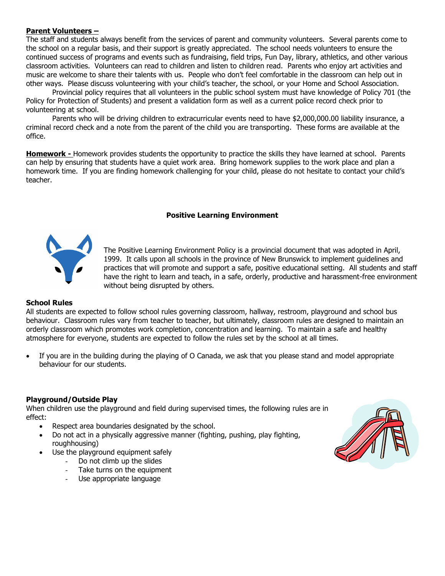#### **Parent Volunteers –**

The staff and students always benefit from the services of parent and community volunteers. Several parents come to the school on a regular basis, and their support is greatly appreciated. The school needs volunteers to ensure the continued success of programs and events such as fundraising, field trips, Fun Day, library, athletics, and other various classroom activities. Volunteers can read to children and listen to children read. Parents who enjoy art activities and music are welcome to share their talents with us. People who don't feel comfortable in the classroom can help out in other ways. Please discuss volunteering with your child's teacher, the school, or your Home and School Association.

Provincial policy requires that all volunteers in the public school system must have knowledge of Policy 701 (the Policy for Protection of Students) and present a validation form as well as a current police record check prior to volunteering at school.

Parents who will be driving children to extracurricular events need to have \$2,000,000.00 liability insurance, a criminal record check and a note from the parent of the child you are transporting. These forms are available at the office.

**Homework -** Homework provides students the opportunity to practice the skills they have learned at school. Parents can help by ensuring that students have a quiet work area. Bring homework supplies to the work place and plan a homework time. If you are finding homework challenging for your child, please do not hesitate to contact your child's teacher.

#### **Positive Learning Environment**



The Positive Learning Environment Policy is a provincial document that was adopted in April, 1999. It calls upon all schools in the province of New Brunswick to implement guidelines and practices that will promote and support a safe, positive educational setting. All students and staff have the right to learn and teach, in a safe, orderly, productive and harassment-free environment without being disrupted by others.

#### **School Rules**

All students are expected to follow school rules governing classroom, hallway, restroom, playground and school bus behaviour. Classroom rules vary from teacher to teacher, but ultimately, classroom rules are designed to maintain an orderly classroom which promotes work completion, concentration and learning. To maintain a safe and healthy atmosphere for everyone, students are expected to follow the rules set by the school at all times.

• If you are in the building during the playing of O Canada, we ask that you please stand and model appropriate behaviour for our students.

#### **Playground/Outside Play**

When children use the playground and field during supervised times, the following rules are in effect:

- Respect area boundaries designated by the school.
- Do not act in a physically aggressive manner (fighting, pushing, play fighting, roughhousing)
- Use the playground equipment safely
	- Do not climb up the slides
	- Take turns on the equipment
	- Use appropriate language

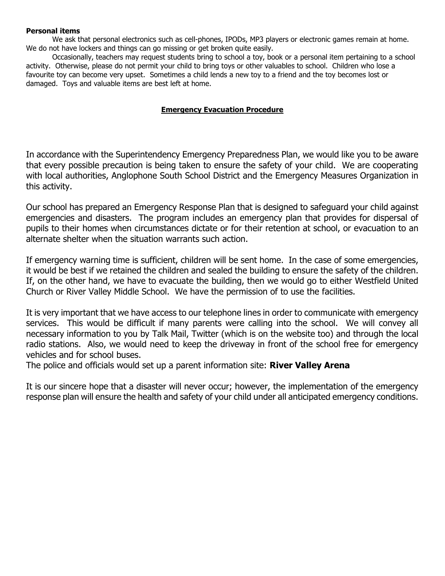#### **Personal items**

We ask that personal electronics such as cell-phones, IPODs, MP3 players or electronic games remain at home. We do not have lockers and things can go missing or get broken quite easily.

Occasionally, teachers may request students bring to school a toy, book or a personal item pertaining to a school activity. Otherwise, please do not permit your child to bring toys or other valuables to school. Children who lose a favourite toy can become very upset. Sometimes a child lends a new toy to a friend and the toy becomes lost or damaged. Toys and valuable items are best left at home.

#### **Emergency Evacuation Procedure**

In accordance with the Superintendency Emergency Preparedness Plan, we would like you to be aware that every possible precaution is being taken to ensure the safety of your child. We are cooperating with local authorities, Anglophone South School District and the Emergency Measures Organization in this activity.

Our school has prepared an Emergency Response Plan that is designed to safeguard your child against emergencies and disasters. The program includes an emergency plan that provides for dispersal of pupils to their homes when circumstances dictate or for their retention at school, or evacuation to an alternate shelter when the situation warrants such action.

If emergency warning time is sufficient, children will be sent home. In the case of some emergencies, it would be best if we retained the children and sealed the building to ensure the safety of the children. If, on the other hand, we have to evacuate the building, then we would go to either Westfield United Church or River Valley Middle School. We have the permission of to use the facilities.

It is very important that we have access to our telephone lines in order to communicate with emergency services. This would be difficult if many parents were calling into the school. We will convey all necessary information to you by Talk Mail, Twitter (which is on the website too) and through the local radio stations. Also, we would need to keep the driveway in front of the school free for emergency vehicles and for school buses.

The police and officials would set up a parent information site: **River Valley Arena**

It is our sincere hope that a disaster will never occur; however, the implementation of the emergency response plan will ensure the health and safety of your child under all anticipated emergency conditions.